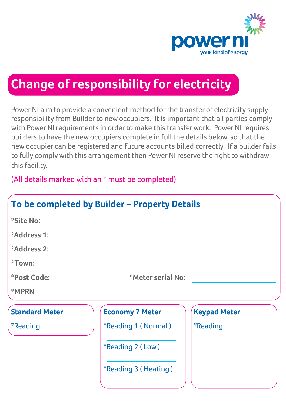

## **Change of responsibility for electricity**

Power NI aim to provide a convenient method for the transfer of electricity supply responsibility from Builder to new occupiers. It is important that all parties comply with Power NI requirements in order to make this transfer work. Power NI requires builders to have the new occupiers complete in full the details below, so that the new occupier can be registered and future accounts billed correctly. If a builder fails to fully comply with this arrangement then Power NI reserve the right to withdraw this facility.

(All details marked with an \* must be completed)

| To be completed by Builder - Property Details |                              |                     |
|-----------------------------------------------|------------------------------|---------------------|
| *Site No:                                     |                              |                     |
| <i><b>Address 1:</b></i>                      |                              |                     |
| <i><b>Address 2:</b></i>                      |                              |                     |
| *Town:                                        |                              |                     |
| *Post Code:                                   | *Meter serial No:            |                     |
| *MPRN                                         |                              |                     |
| <b>Standard Meter</b>                         | <b>Economy 7 Meter</b>       | <b>Keypad Meter</b> |
| *Reading                                      | <i>*</i> Reading 1 (Normal)  | $*$ Reading $\_\_$  |
|                                               | *Reading 2 (Low)             |                     |
|                                               | <i>*</i> Reading 3 (Heating) |                     |
|                                               |                              |                     |